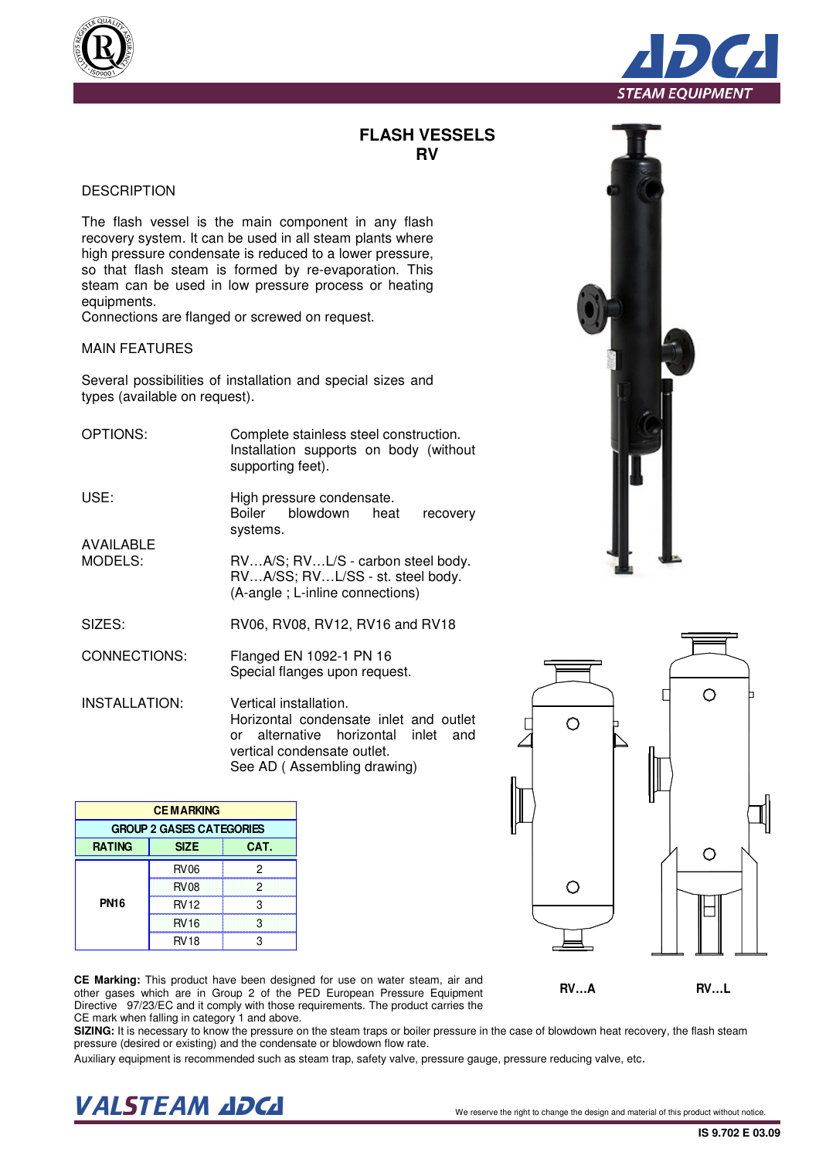## **FLASH VESSELS RV**

## **DESCRIPTION**

The flash vessel is the main component in any flash recovery system. It can be used in all steam plants where high pressure condensate is reduced to a lower pressure, so that flash steam is formed by re-evaporation. This steam can be used in low pressure process or heating equipments.

Connections are flanged or screwed on request.

## MAIN FEATURES

Several possibilities of installation and special sizes and types (available on request).

OPTIONS: USE: AVAILABLE MODELS: Complete stainless steel construction. Installation supports on body (without supporting feet). High pressure condensate. Boiler blowdown heat recovery systems. RV…A/S; RV…L/S - carbon steel body. RV…A/SS; RV…L/SS - st. steel body.

(A-angle ; L-inline connections)

- SIZES: RV06, RV08, RV12, RV16 and RV18
- CONNECTIONS: Flanged EN 1092-1 PN 16 Special flanges upon request.

INSTALLATION: Vertical installation. Horizontal condensate inlet and outlet or alternative horizontal inlet and vertical condensate outlet. See AD ( Assembling drawing)

| <b>CE Marking:</b> This product have been designed for use on water steam, air and               |
|--------------------------------------------------------------------------------------------------|
| other gases which are in Group 2 of the PED European Pressure Equipment                          |
| Directive 97/23/EC and it comply with those requirements. The product carries the                |
| CE mark when falling in category 1 and above.                                                    |
| <b>ALTINA</b> . It is a second to have the absolute of the stress three subsidiary and selection |

**SIZING:** It is necessary to know the pressure on the steam traps or boiler pressure in the case of blowdown heat recovery, the flash steam pressure (desired or existing) and the condensate or blowdown flow rate.

Auxiliary equipment is recommended such as steam trap, safety valve, pressure gauge, pressure reducing valve, etc.







RATING SIZE CAT.

**PN16**

**CE MARKING GROUP 2 GASES CATEGORIES**

> RV06 2 RV08 2 RV12 3 RV16 3 RV18 3